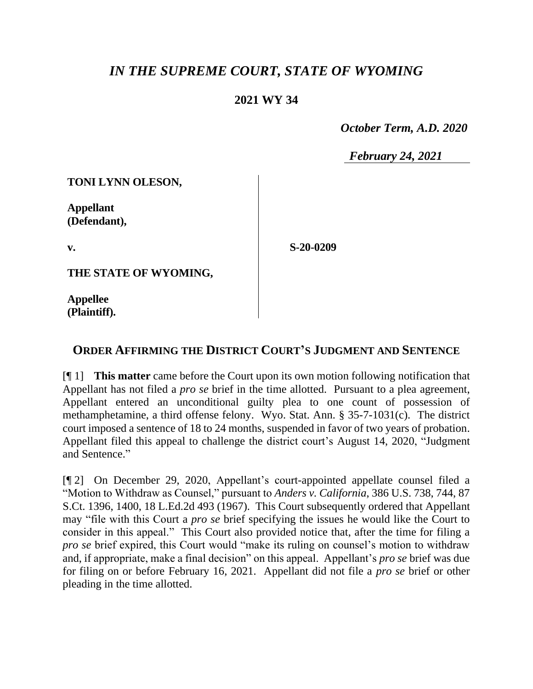## *IN THE SUPREME COURT, STATE OF WYOMING*

## **2021 WY 34**

 *October Term, A.D. 2020*

*February 24, 2021*

**TONI LYNN OLESON,**

**Appellant (Defendant),**

**v.**

**S-20-0209**

**THE STATE OF WYOMING,**

**Appellee (Plaintiff).**

## **ORDER AFFIRMING THE DISTRICT COURT'S JUDGMENT AND SENTENCE**

[¶ 1] **This matter** came before the Court upon its own motion following notification that Appellant has not filed a *pro se* brief in the time allotted. Pursuant to a plea agreement, Appellant entered an unconditional guilty plea to one count of possession of methamphetamine, a third offense felony. Wyo. Stat. Ann. § 35-7-1031(c). The district court imposed a sentence of 18 to 24 months, suspended in favor of two years of probation. Appellant filed this appeal to challenge the district court's August 14, 2020, "Judgment and Sentence."

[¶ 2] On December 29, 2020, Appellant's court-appointed appellate counsel filed a "Motion to Withdraw as Counsel," pursuant to *Anders v. California*, 386 U.S. 738, 744, 87 S.Ct. 1396, 1400, 18 L.Ed.2d 493 (1967). This Court subsequently ordered that Appellant may "file with this Court a *pro se* brief specifying the issues he would like the Court to consider in this appeal." This Court also provided notice that, after the time for filing a *pro se* brief expired, this Court would "make its ruling on counsel's motion to withdraw and, if appropriate, make a final decision" on this appeal. Appellant's *pro se* brief was due for filing on or before February 16, 2021. Appellant did not file a *pro se* brief or other pleading in the time allotted.